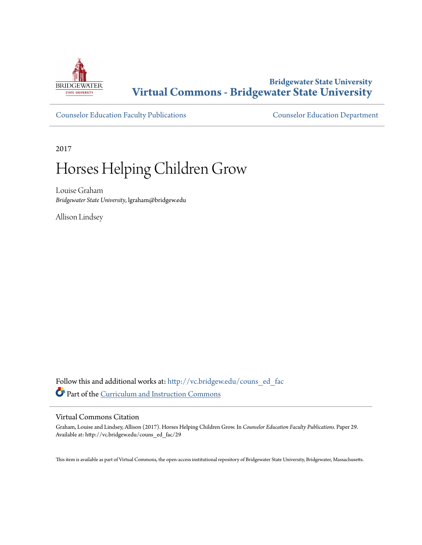

# **Bridgewater State University [Virtual Commons - Bridgewater State University](http://vc.bridgew.edu?utm_source=vc.bridgew.edu%2Fcouns_ed_fac%2F29&utm_medium=PDF&utm_campaign=PDFCoverPages)**

[Counselor Education Faculty Publications](http://vc.bridgew.edu/couns_ed_fac?utm_source=vc.bridgew.edu%2Fcouns_ed_fac%2F29&utm_medium=PDF&utm_campaign=PDFCoverPages) [Counselor Education Department](http://vc.bridgew.edu/couns_ed?utm_source=vc.bridgew.edu%2Fcouns_ed_fac%2F29&utm_medium=PDF&utm_campaign=PDFCoverPages)

2017

# Horses Helping Children Grow

Louise Graham *Bridgewater State University*, lgraham@bridgew.edu

Allison Lindsey

Follow this and additional works at: [http://vc.bridgew.edu/couns\\_ed\\_fac](http://vc.bridgew.edu/couns_ed_fac?utm_source=vc.bridgew.edu%2Fcouns_ed_fac%2F29&utm_medium=PDF&utm_campaign=PDFCoverPages) Part of the [Curriculum and Instruction Commons](http://network.bepress.com/hgg/discipline/786?utm_source=vc.bridgew.edu%2Fcouns_ed_fac%2F29&utm_medium=PDF&utm_campaign=PDFCoverPages)

#### Virtual Commons Citation

Graham, Louise and Lindsey, Allison (2017). Horses Helping Children Grow. In *Counselor Education Faculty Publications.* Paper 29. Available at: http://vc.bridgew.edu/couns\_ed\_fac/29

This item is available as part of Virtual Commons, the open-access institutional repository of Bridgewater State University, Bridgewater, Massachusetts.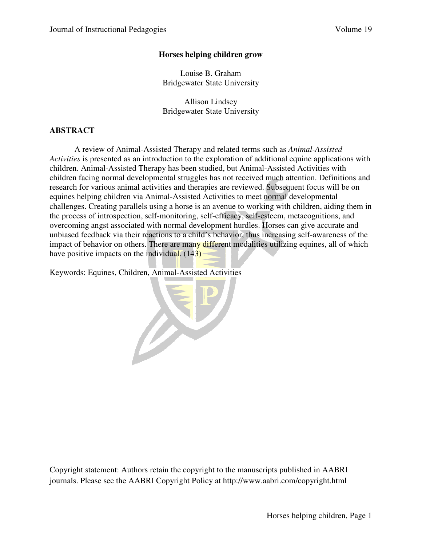# **Horses helping children grow**

Louise B. Graham Bridgewater State University

Allison Lindsey Bridgewater State University

# **ABSTRACT**

A review of Animal-Assisted Therapy and related terms such as *Animal-Assisted Activities* is presented as an introduction to the exploration of additional equine applications with children. Animal-Assisted Therapy has been studied, but Animal-Assisted Activities with children facing normal developmental struggles has not received much attention. Definitions and research for various animal activities and therapies are reviewed. Subsequent focus will be on equines helping children via Animal-Assisted Activities to meet normal developmental challenges. Creating parallels using a horse is an avenue to working with children, aiding them in the process of introspection, self-monitoring, self-efficacy, self-esteem, metacognitions, and overcoming angst associated with normal development hurdles. Horses can give accurate and unbiased feedback via their reactions to a child's behavior, thus increasing self-awareness of the impact of behavior on others. There are many different modalities utilizing equines, all of which have positive impacts on the individual.  $(143)$ 

Keywords: Equines, Children, Animal-Assisted Activities

Copyright statement: Authors retain the copyright to the manuscripts published in AABRI journals. Please see the AABRI Copyright Policy at http://www.aabri.com/copyright.html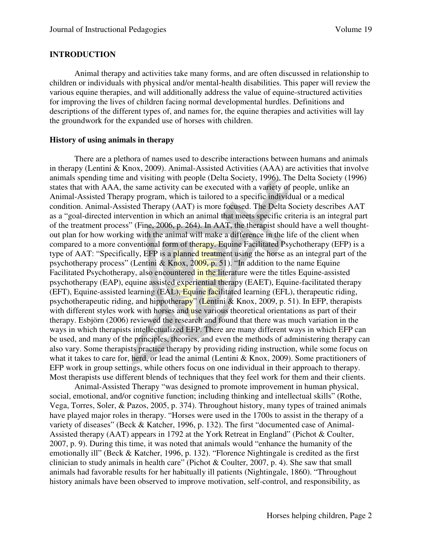#### **INTRODUCTION**

Animal therapy and activities take many forms, and are often discussed in relationship to children or individuals with physical and/or mental-health disabilities. This paper will review the various equine therapies, and will additionally address the value of equine-structured activities for improving the lives of children facing normal developmental hurdles. Definitions and descriptions of the different types of, and names for, the equine therapies and activities will lay the groundwork for the expanded use of horses with children.

#### **History of using animals in therapy**

There are a plethora of names used to describe interactions between humans and animals in therapy (Lentini & Knox, 2009). Animal-Assisted Activities (AAA) are activities that involve animals spending time and visiting with people (Delta Society, 1996). The Delta Society (1996) states that with AAA, the same activity can be executed with a variety of people, unlike an Animal-Assisted Therapy program, which is tailored to a specific individual or a medical condition. Animal-Assisted Therapy (AAT) is more focused. The Delta Society describes AAT as a "goal-directed intervention in which an animal that meets specific criteria is an integral part of the treatment process" (Fine, 2006, p. 264). In AAT, the therapist should have a well thoughtout plan for how working with the animal will make a difference in the life of the client when compared to a more conventional form of therapy. Equine Facilitated Psychotherapy (EFP) is a type of AAT: "Specifically, EFP is a planned treatment using the horse as an integral part of the psychotherapy process" (Lentini & Knox, 2009, p. 51). "In addition to the name Equine Facilitated Psychotherapy, also encountered in the literature were the titles Equine-assisted psychotherapy (EAP), equine assisted experiential therapy (EAET), Equine-facilitated therapy (EFT), Equine-assisted learning (EAL), Equine facilitated learning (EFL), therapeutic riding, psychotherapeutic riding, and hippotherapy" (Lentini & Knox, 2009, p. 51). In EFP, therapists with different styles work with horses and use various theoretical orientations as part of their therapy. Esbjörn (2006) reviewed the research and found that there was much variation in the ways in which therapists intellectualized EFP. There are many different ways in which EFP can be used, and many of the principles, theories, and even the methods of administering therapy can also vary. Some therapists practice therapy by providing riding instruction, while some focus on what it takes to care for, herd, or lead the animal (Lentini & Knox, 2009). Some practitioners of EFP work in group settings, while others focus on one individual in their approach to therapy. Most therapists use different blends of techniques that they feel work for them and their clients.

Animal-Assisted Therapy "was designed to promote improvement in human physical, social, emotional, and/or cognitive function; including thinking and intellectual skills" (Rothe, Vega, Torres, Soler, & Pazos, 2005, p. 374). Throughout history, many types of trained animals have played major roles in therapy. "Horses were used in the 1700s to assist in the therapy of a variety of diseases" (Beck & Katcher, 1996, p. 132). The first "documented case of Animal-Assisted therapy (AAT) appears in 1792 at the York Retreat in England" (Pichot & Coulter, 2007, p. 9). During this time, it was noted that animals would "enhance the humanity of the emotionally ill" (Beck & Katcher, 1996, p. 132). "Florence Nightingale is credited as the first clinician to study animals in health care" (Pichot & Coulter, 2007, p. 4). She saw that small animals had favorable results for her habitually ill patients (Nightingale, 1860). "Throughout history animals have been observed to improve motivation, self-control, and responsibility, as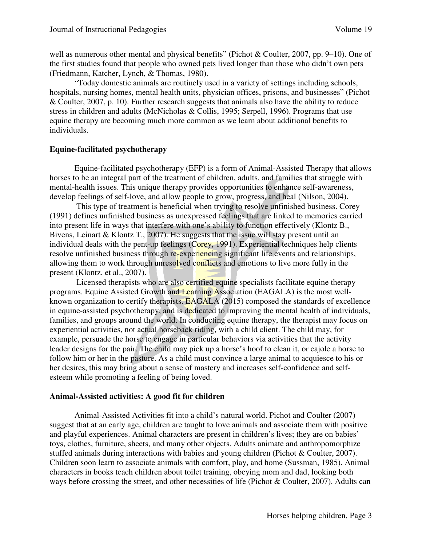well as numerous other mental and physical benefits" (Pichot & Coulter, 2007, pp. 9–10). One of the first studies found that people who owned pets lived longer than those who didn't own pets (Friedmann, Katcher, Lynch, & Thomas, 1980).

"Today domestic animals are routinely used in a variety of settings including schools, hospitals, nursing homes, mental health units, physician offices, prisons, and businesses" (Pichot & Coulter, 2007, p. 10). Further research suggests that animals also have the ability to reduce stress in children and adults (McNicholas & Collis, 1995; Serpell, 1996). Programs that use equine therapy are becoming much more common as we learn about additional benefits to individuals.

# **Equine-facilitated psychotherapy**

Equine-facilitated psychotherapy (EFP) is a form of Animal-Assisted Therapy that allows horses to be an integral part of the treatment of children, adults, and families that struggle with mental-health issues. This unique therapy provides opportunities to enhance self-awareness, develop feelings of self-love, and allow people to grow, progress, and heal (Nilson, 2004).

 This type of treatment is beneficial when trying to resolve unfinished business. Corey (1991) defines unfinished business as unexpressed feelings that are linked to memories carried into present life in ways that interfere with one's ability to function effectively (Klontz B., Bivens, Leinart & Klontz T., 2007). He suggests that the issue will stay present until an individual deals with the pent-up feelings (Corey, 1991). Experiential techniques help clients resolve unfinished business through re-experiencing significant life events and relationships, allowing them to work through unresolved conflicts and emotions to live more fully in the present (Klontz, et al., 2007).

 Licensed therapists who are also certified equine specialists facilitate equine therapy programs. Equine Assisted Growth and Learning Association (EAGALA) is the most wellknown organization to certify therapists. EAGALA (2015) composed the standards of excellence in equine-assisted psychotherapy, and is dedicated to improving the mental health of individuals, families, and groups around the world. In conducting equine therapy, the therapist may focus on experiential activities, not actual horseback riding, with a child client. The child may, for example, persuade the horse to engage in particular behaviors via activities that the activity leader designs for the pair. The child may pick up a horse's hoof to clean it, or cajole a horse to follow him or her in the pasture. As a child must convince a large animal to acquiesce to his or her desires, this may bring about a sense of mastery and increases self-confidence and selfesteem while promoting a feeling of being loved.

# **Animal-Assisted activities: A good fit for children**

Animal-Assisted Activities fit into a child's natural world. Pichot and Coulter (2007) suggest that at an early age, children are taught to love animals and associate them with positive and playful experiences. Animal characters are present in children's lives; they are on babies' toys, clothes, furniture, sheets, and many other objects. Adults animate and anthropomorphize stuffed animals during interactions with babies and young children (Pichot & Coulter, 2007). Children soon learn to associate animals with comfort, play, and home (Sussman, 1985). Animal characters in books teach children about toilet training, obeying mom and dad, looking both ways before crossing the street, and other necessities of life (Pichot & Coulter, 2007). Adults can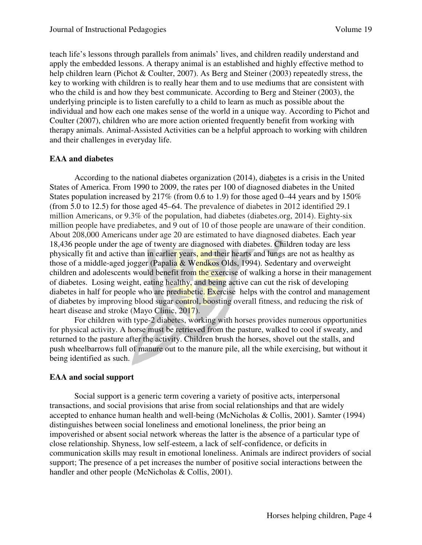teach life's lessons through parallels from animals' lives, and children readily understand and apply the embedded lessons. A therapy animal is an established and highly effective method to help children learn (Pichot & Coulter, 2007). As Berg and Steiner (2003) repeatedly stress, the key to working with children is to really hear them and to use mediums that are consistent with who the child is and how they best communicate. According to Berg and Steiner (2003), the underlying principle is to listen carefully to a child to learn as much as possible about the individual and how each one makes sense of the world in a unique way. According to Pichot and Coulter (2007), children who are more action oriented frequently benefit from working with therapy animals. Animal-Assisted Activities can be a helpful approach to working with children and their challenges in everyday life.

# **EAA and diabetes**

According to the national diabetes organization (2014), diabetes is a crisis in the United States of America. From 1990 to 2009, the rates per 100 of diagnosed diabetes in the United States population increased by 217% (from 0.6 to 1.9) for those aged 0–44 years and by 150% (from 5.0 to 12.5) for those aged 45–64. The prevalence of diabetes in 2012 identified 29.1 million Americans, or 9.3% of the population, had diabetes (diabetes.org, 2014). Eighty-six million people have prediabetes, and 9 out of 10 of those people are unaware of their condition. About 208,000 Americans under age 20 are estimated to have diagnosed diabetes. Each year 18,436 people under the age of twenty are diagnosed with diabetes. Children today are less physically fit and active than in earlier years, and their hearts and lungs are not as healthy as those of a middle-aged jogger (Papalia & Wendkos Olds, 1994). Sedentary and overweight children and adolescents would benefit from the exercise of walking a horse in their management of diabetes. Losing weight, eating healthy, and being active can cut the risk of developing diabetes in half for people who are prediabetic. Exercise helps with the control and management of diabetes by improving blood sugar control, boosting overall fitness, and reducing the risk of heart disease and stroke (Mayo Clinic, 2017).

For children with type-2 diabetes, working with horses provides numerous opportunities for physical activity. A horse must be retrieved from the pasture, walked to cool if sweaty, and returned to the pasture after the activity. Children brush the horses, shovel out the stalls, and push wheelbarrows full of manure out to the manure pile, all the while exercising, but without it being identified as such.

# **EAA and social support**

Social support is a generic term covering a variety of positive acts, interpersonal transactions, and social provisions that arise from social relationships and that are widely accepted to enhance human health and well-being (McNicholas & Collis, 2001). Samter (1994) distinguishes between social loneliness and emotional loneliness, the prior being an impoverished or absent social network whereas the latter is the absence of a particular type of close relationship. Shyness, low self-esteem, a lack of self-confidence, or deficits in communication skills may result in emotional loneliness. Animals are indirect providers of social support; The presence of a pet increases the number of positive social interactions between the handler and other people (McNicholas & Collis, 2001).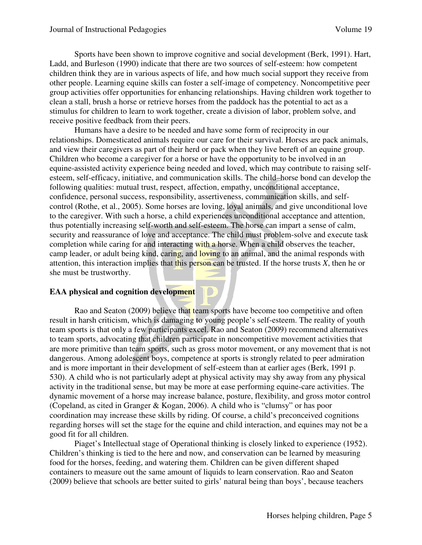Sports have been shown to improve cognitive and social development (Berk, 1991). Hart, Ladd, and Burleson (1990) indicate that there are two sources of self-esteem: how competent children think they are in various aspects of life, and how much social support they receive from other people. Learning equine skills can foster a self-image of competency. Noncompetitive peer group activities offer opportunities for enhancing relationships. Having children work together to clean a stall, brush a horse or retrieve horses from the paddock has the potential to act as a stimulus for children to learn to work together, create a division of labor, problem solve, and receive positive feedback from their peers.

 Humans have a desire to be needed and have some form of reciprocity in our relationships. Domesticated animals require our care for their survival. Horses are pack animals, and view their caregivers as part of their herd or pack when they live bereft of an equine group. Children who become a caregiver for a horse or have the opportunity to be involved in an equine-assisted activity experience being needed and loved, which may contribute to raising selfesteem, self-efficacy, initiative, and communication skills. The child–horse bond can develop the following qualities: mutual trust, respect, affection, empathy, unconditional acceptance, confidence, personal success, responsibility, assertiveness, communication skills, and selfcontrol (Rothe, et al., 2005). Some horses are loving, loyal animals, and give unconditional love to the caregiver. With such a horse, a child experiences unconditional acceptance and attention, thus potentially increasing self-worth and self-esteem. The horse can impart a sense of calm, security and reassurance of love and acceptance. The child must problem-solve and execute task completion while caring for and interacting with a horse. When a child observes the teacher, camp leader, or adult being kind, caring, and loving to an animal, and the animal responds with attention, this interaction implies that this person can be trusted. If the horse trusts *X*, then he or she must be trustworthy.

# **EAA physical and cognition development**

Rao and Seaton (2009) believe that team sports have become too competitive and often result in harsh criticism, which is damaging to young people's self-esteem. The reality of youth team sports is that only a few participants excel. Rao and Seaton (2009) recommend alternatives to team sports, advocating that children participate in noncompetitive movement activities that are more primitive than team sports, such as gross motor movement, or any movement that is not dangerous. Among adolescent boys, competence at sports is strongly related to peer admiration and is more important in their development of self-esteem than at earlier ages (Berk, 1991 p. 530). A child who is not particularly adept at physical activity may shy away from any physical activity in the traditional sense, but may be more at ease performing equine-care activities. The dynamic movement of a horse may increase balance, posture, flexibility, and gross motor control (Copeland, as cited in Granger & Kogan, 2006). A child who is "clumsy" or has poor coordination may increase these skills by riding. Of course, a child's preconceived cognitions regarding horses will set the stage for the equine and child interaction, and equines may not be a good fit for all children.

Piaget's Intellectual stage of Operational thinking is closely linked to experience (1952). Children's thinking is tied to the here and now, and conservation can be learned by measuring food for the horses, feeding, and watering them. Children can be given different shaped containers to measure out the same amount of liquids to learn conservation. Rao and Seaton (2009) believe that schools are better suited to girls' natural being than boys', because teachers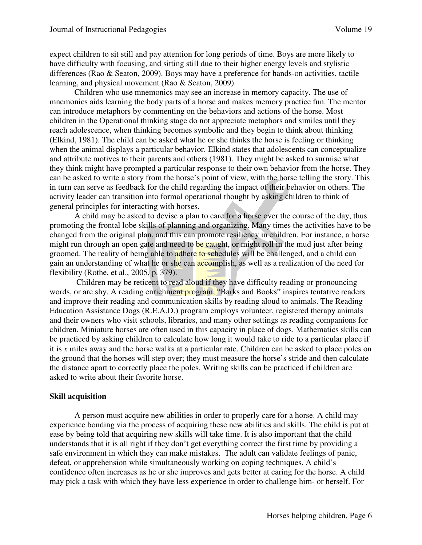expect children to sit still and pay attention for long periods of time. Boys are more likely to have difficulty with focusing, and sitting still due to their higher energy levels and stylistic differences (Rao & Seaton, 2009). Boys may have a preference for hands-on activities, tactile learning, and physical movement (Rao & Seaton, 2009).

Children who use mnemonics may see an increase in memory capacity. The use of mnemonics aids learning the body parts of a horse and makes memory practice fun. The mentor can introduce metaphors by commenting on the behaviors and actions of the horse. Most children in the Operational thinking stage do not appreciate metaphors and similes until they reach adolescence, when thinking becomes symbolic and they begin to think about thinking (Elkind, 1981). The child can be asked what he or she thinks the horse is feeling or thinking when the animal displays a particular behavior. Elkind states that adolescents can conceptualize and attribute motives to their parents and others (1981). They might be asked to surmise what they think might have prompted a particular response to their own behavior from the horse. They can be asked to write a story from the horse's point of view, with the horse telling the story. This in turn can serve as feedback for the child regarding the impact of their behavior on others. The activity leader can transition into formal operational thought by asking children to think of general principles for interacting with horses.

A child may be asked to devise a plan to care for a horse over the course of the day, thus promoting the frontal lobe skills of planning and organizing. Many times the activities have to be changed from the original plan, and this can promote resiliency in children. For instance, a horse might run through an open gate and need to be caught, or might roll in the mud just after being groomed. The reality of being able to adhere to schedules will be challenged, and a child can gain an understanding of what he or she can accomplish, as well as a realization of the need for flexibility (Rothe, et al., 2005, p. 379).

 Children may be reticent to read aloud if they have difficulty reading or pronouncing words, or are shy. A reading enrichment program, "Barks and Books" inspires tentative readers and improve their reading and communication skills by reading aloud to animals. The Reading Education Assistance Dogs (R.E.A.D.) program employs volunteer, registered therapy animals and their owners who visit schools, libraries, and many other settings as reading companions for children. Miniature horses are often used in this capacity in place of dogs. Mathematics skills can be practiced by asking children to calculate how long it would take to ride to a particular place if it is *x* miles away and the horse walks at a particular rate. Children can be asked to place poles on the ground that the horses will step over; they must measure the horse's stride and then calculate the distance apart to correctly place the poles. Writing skills can be practiced if children are asked to write about their favorite horse.

# **Skill acquisition**

A person must acquire new abilities in order to properly care for a horse. A child may experience bonding via the process of acquiring these new abilities and skills. The child is put at ease by being told that acquiring new skills will take time. It is also important that the child understands that it is all right if they don't get everything correct the first time by providing a safe environment in which they can make mistakes. The adult can validate feelings of panic, defeat, or apprehension while simultaneously working on coping techniques. A child's confidence often increases as he or she improves and gets better at caring for the horse. A child may pick a task with which they have less experience in order to challenge him- or herself. For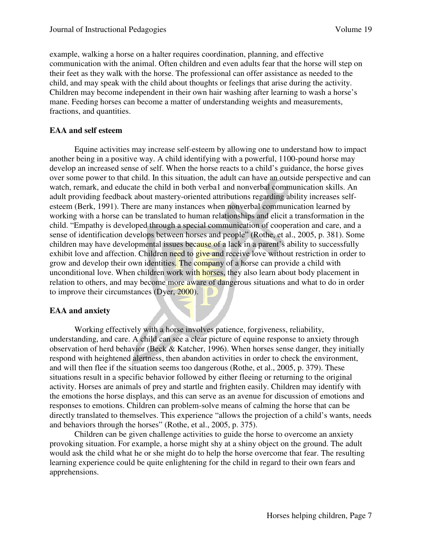example, walking a horse on a halter requires coordination, planning, and effective communication with the animal. Often children and even adults fear that the horse will step on their feet as they walk with the horse. The professional can offer assistance as needed to the child, and may speak with the child about thoughts or feelings that arise during the activity. Children may become independent in their own hair washing after learning to wash a horse's mane. Feeding horses can become a matter of understanding weights and measurements, fractions, and quantities.

# **EAA and self esteem**

Equine activities may increase self-esteem by allowing one to understand how to impact another being in a positive way. A child identifying with a powerful, 1100-pound horse may develop an increased sense of self. When the horse reacts to a child's guidance, the horse gives over some power to that child. In this situation, the adult can have an outside perspective and can watch, remark, and educate the child in both verba1 and nonverbal communication skills. An adult providing feedback about mastery-oriented attributions regarding ability increases selfesteem (Berk, 1991). There are many instances when nonverbal communication learned by working with a horse can be translated to human relationships and elicit a transformation in the child. "Empathy is developed through a special communication of cooperation and care, and a sense of identification develops between horses and people" (Rothe, et al., 2005, p. 381). Some children may have developmental issues because of a lack in a parent's ability to successfully exhibit love and affection. Children need to give and receive love without restriction in order to grow and develop their own identities. The company of a horse can provide a child with unconditional love. When children work with horses, they also learn about body placement in relation to others, and may become more aware of dangerous situations and what to do in order to improve their circumstances (Dyer, 2000).

# **EAA and anxiety**

Working effectively with a horse involves patience, forgiveness, reliability, understanding, and care. A child can see a clear picture of equine response to anxiety through observation of herd behavior (Beck & Katcher, 1996). When horses sense danger, they initially respond with heightened alertness, then abandon activities in order to check the environment, and will then flee if the situation seems too dangerous (Rothe, et al., 2005, p. 379). These situations result in a specific behavior followed by either fleeing or returning to the original activity. Horses are animals of prey and startle and frighten easily. Children may identify with the emotions the horse displays, and this can serve as an avenue for discussion of emotions and responses to emotions. Children can problem-solve means of calming the horse that can be directly translated to themselves. This experience "allows the projection of a child's wants, needs and behaviors through the horses" (Rothe, et al., 2005, p. 375).

Children can be given challenge activities to guide the horse to overcome an anxiety provoking situation. For example, a horse might shy at a shiny object on the ground. The adult would ask the child what he or she might do to help the horse overcome that fear. The resulting learning experience could be quite enlightening for the child in regard to their own fears and apprehensions.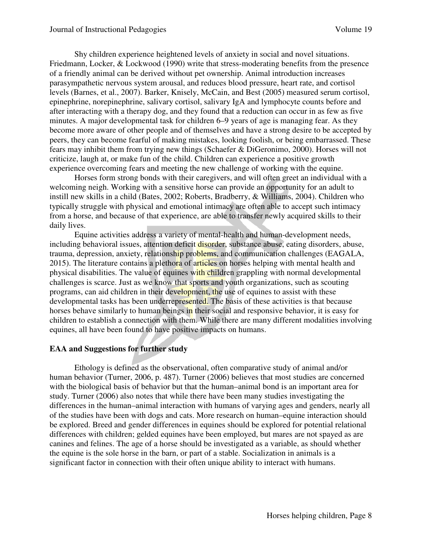Shy children experience heightened levels of anxiety in social and novel situations. Friedmann, Locker, & Lockwood (1990) write that stress-moderating benefits from the presence of a friendly animal can be derived without pet ownership. Animal introduction increases parasympathetic nervous system arousal, and reduces blood pressure, heart rate, and cortisol levels (Barnes, et al., 2007). Barker, Knisely, McCain, and Best (2005) measured serum cortisol, epinephrine, norepinephrine, salivary cortisol, salivary IgA and lymphocyte counts before and after interacting with a therapy dog, and they found that a reduction can occur in as few as five minutes. A major developmental task for children 6–9 years of age is managing fear. As they become more aware of other people and of themselves and have a strong desire to be accepted by peers, they can become fearful of making mistakes, looking foolish, or being embarrassed. These fears may inhibit them from trying new things (Schaefer & DiGeronimo, 2000). Horses will not criticize, laugh at, or make fun of the child. Children can experience a positive growth experience overcoming fears and meeting the new challenge of working with the equine.

Horses form strong bonds with their caregivers, and will often greet an individual with a welcoming neigh. Working with a sensitive horse can provide an opportunity for an adult to instill new skills in a child (Bates, 2002; Roberts, Bradberry, & Williams, 2004). Children who typically struggle with physical and emotional intimacy are often able to accept such intimacy from a horse, and because of that experience, are able to transfer newly acquired skills to their daily lives.

Equine activities address a variety of mental-health and human-development needs, including behavioral issues, attention deficit disorder, substance abuse, eating disorders, abuse, trauma, depression, anxiety, relationship problems, and communication challenges (EAGALA, 2015). The literature contains a plethora of articles on horses helping with mental health and physical disabilities. The value of equines with children grappling with normal developmental challenges is scarce. Just as we know that sports and youth organizations, such as scouting programs, can aid children in their development, the use of equines to assist with these developmental tasks has been underrepresented. The basis of these activities is that because horses behave similarly to human beings in their social and responsive behavior, it is easy for children to establish a connection with them. While there are many different modalities involving equines, all have been found to have positive impacts on humans.

# **EAA and Suggestions for further study**

 Ethology is defined as the observational, often comparative study of animal and/or human behavior (Turner, 2006, p. 487). Turner (2006) believes that most studies are concerned with the biological basis of behavior but that the human–animal bond is an important area for study. Turner (2006) also notes that while there have been many studies investigating the differences in the human–animal interaction with humans of varying ages and genders, nearly all of the studies have been with dogs and cats. More research on human–equine interaction should be explored. Breed and gender differences in equines should be explored for potential relational differences with children; gelded equines have been employed, but mares are not spayed as are canines and felines. The age of a horse should be investigated as a variable, as should whether the equine is the sole horse in the barn, or part of a stable. Socialization in animals is a significant factor in connection with their often unique ability to interact with humans.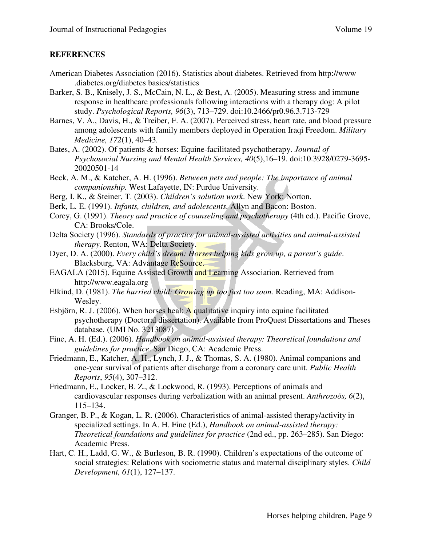# **REFERENCES**

- American Diabetes Association (2016). Statistics about diabetes. Retrieved from http://www .diabetes.org/diabetes basics/statistics
- Barker, S. B., Knisely, J. S., McCain, N. L., & Best, A. (2005). Measuring stress and immune response in healthcare professionals following interactions with a therapy dog: A pilot study. *Psychological Reports, 96*(3), 713–729. doi:10.2466/pr0.96.3.713-729
- Barnes, V. A., Davis, H., & Treiber, F. A. (2007). Perceived stress, heart rate, and blood pressure among adolescents with family members deployed in Operation Iraqi Freedom. *Military Medicine, 172*(1), 40–43*.*
- Bates, A. (2002). Of patients & horses: Equine-facilitated psychotherapy. *Journal of Psychosocial Nursing and Mental Health Services, 40*(5),16–19. doi:10.3928/0279-3695- 20020501-14
- Beck, A. M., & Katcher, A. H. (1996). *Between pets and people: The importance of animal companionship.* West Lafayette, IN: Purdue University.
- Berg, I. K., & Steiner, T. (2003). *Children's solution work*. New York: Norton.
- Berk, L. E. (1991). *Infants, children, and adolescents.* Allyn and Bacon: Boston.
- Corey, G. (1991). *Theory and practice of counseling and psychotherapy* (4th ed.). Pacific Grove, CA: Brooks/Cole.
- Delta Society (1996). *Standards of practice for animal-assisted activities and animal-assisted therapy.* Renton, WA: Delta Society.
- Dyer, D. A. (2000). *Every child's dream: Horses helping kids grow up, a parent's guide*. Blacksburg, VA: Advantage ReSource.
- EAGALA (2015). Equine Assisted Growth and Learning Association. Retrieved from http://www.eagala.org
- Elkind, D. (1981). *The hurried child: Growing up too fast too soon.* Reading, MA: Addison-Wesley.
- Esbjörn, R. J. (2006). When horses heal: A qualitative inquiry into equine facilitated psychotherapy (Doctoral dissertation). Available from ProQuest Dissertations and Theses database. (UMI No. 3213087)
- Fine, A. H. (Ed.). (2006). *Handbook on animal-assisted therapy: Theoretical foundations and guidelines for practice*. San Diego, CA: Academic Press.
- Friedmann, E., Katcher, A. H., Lynch, J. J., & Thomas, S. A. (1980). Animal companions and one-year survival of patients after discharge from a coronary care unit. *Public Health Reports*, *95*(4), 307–312.
- Friedmann, E., Locker, B. Z., & Lockwood, R. (1993). Perceptions of animals and cardiovascular responses during verbalization with an animal present. *Anthrozoös, 6*(2), 115–134.
- Granger, B. P., & Kogan, L. R. (2006). Characteristics of animal-assisted therapy/activity in specialized settings. In A. H. Fine (Ed.), *Handbook on animal-assisted therapy: Theoretical foundations and guidelines for practice* (2nd ed., pp. 263–285). San Diego: Academic Press.
- Hart, C. H., Ladd, G. W., & Burleson, B. R. (1990). Children's expectations of the outcome of social strategies: Relations with sociometric status and maternal disciplinary styles. *Child Development, 61*(1), 127–137.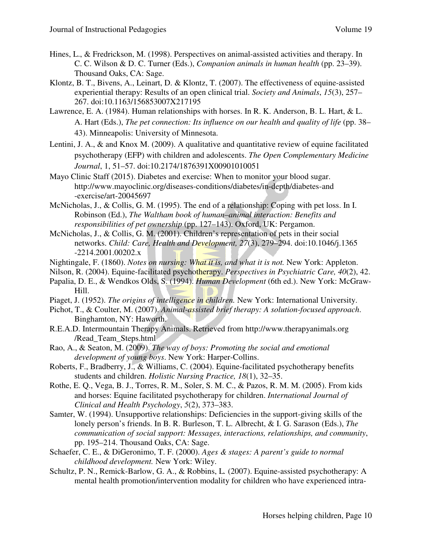- Hines, L., & Fredrickson, M. (1998). Perspectives on animal-assisted activities and therapy. In C. C. Wilson & D. C. Turner (Eds.), *Companion animals in human health* (pp. 23–39). Thousand Oaks, CA: Sage.
- Klontz, B. T., Bivens, A., Leinart, D. & Klontz, T. (2007). The effectiveness of equine-assisted experiential therapy: Results of an open clinical trial. *Society and Animals*, *15*(3), 257– 267. doi:10.1163/156853007X217195
- Lawrence, E. A. (1984). Human relationships with horses. In R. K. Anderson, B. L. Hart, & L. A. Hart (Eds.), *The pet connection: Its influence on our health and quality of life* (pp. 38– 43). Minneapolis: University of Minnesota.
- Lentini, J. A., & and Knox M. (2009). A qualitative and quantitative review of equine facilitated psychotherapy (EFP) with children and adolescents. *The Open Complementary Medicine Journal*, 1, 51–57. doi:10.2174/1876391X00901010051
- Mayo Clinic Staff (2015). Diabetes and exercise: When to monitor your blood sugar. http://www.mayoclinic.org/diseases-conditions/diabetes/in-depth/diabetes-and -exercise/art-20045697
- McNicholas, J., & Collis, G. M. (1995). The end of a relationship: Coping with pet loss. In I. Robinson (Ed.), *The Waltham book of human–animal interaction: Benefits and responsibilities of pet ownership* (pp. 127–143). Oxford, UK: Pergamon.
- McNicholas, J., & Collis, G. M. (2001). Children's representation of pets in their social networks. *Child: Care, Health and Development, 27*(3), 279–294. doi:10.1046/j.1365 -2214.2001.00202.x
- Nightingale, F. (1860). *Notes on nursing: What it is, and what it is not.* New York: Appleton.
- Nilson, R. (2004). Equine-facilitated psychotherapy. *Perspectives in Psychiatric Care, 40*(2), 42.
- Papalia, D. E., & Wendkos Olds, S. (1994). *Human Development* (6th ed.). New York: McGraw-Hill.
- Piaget, J. (1952). *The origins of intelligence in children.* New York: International University.
- Pichot, T., & Coulter, M. (2007). *Animal-assisted brief therapy: A solution-focused approach*. Binghamton, NY: Haworth.
- R.E.A.D. Intermountain Therapy Animals. Retrieved from http://www.therapyanimals.org /Read\_Team\_Steps.html
- Rao, A., & Seaton, M. (2009). *The way of boys: Promoting the social and emotional development of young boys*. New York: Harper-Collins.
- Roberts, F., Bradberry, J., & Williams, C. (2004). Equine-facilitated psychotherapy benefits students and children. *Holistic Nursing Practice, 18*(1), 32–35.
- Rothe, E. Q., Vega, B. J., Torres, R. M., Soler, S. M. C., & Pazos, R. M. M. (2005). From kids and horses: Equine facilitated psychotherapy for children. *International Journal of Clinical and Health Psychology*, *5*(2), 373–383.
- Samter, W. (1994). Unsupportive relationships: Deficiencies in the support-giving skills of the lonely person's friends. In B. R. Burleson, T. L. Albrecht, & I. G. Sarason (Eds.), *The communication of social support: Messages, interactions, relationships, and community*, pp. 195–214. Thousand Oaks, CA: Sage.
- Schaefer, C. E., & DiGeronimo, T. F. (2000). *Ages & stages: A parent's guide to normal childhood development.* New York: Wiley.
- Schultz, P. N., Remick-Barlow, G. A., & Robbins, L*.* (2007). Equine-assisted psychotherapy: A mental health promotion/intervention modality for children who have experienced intra-